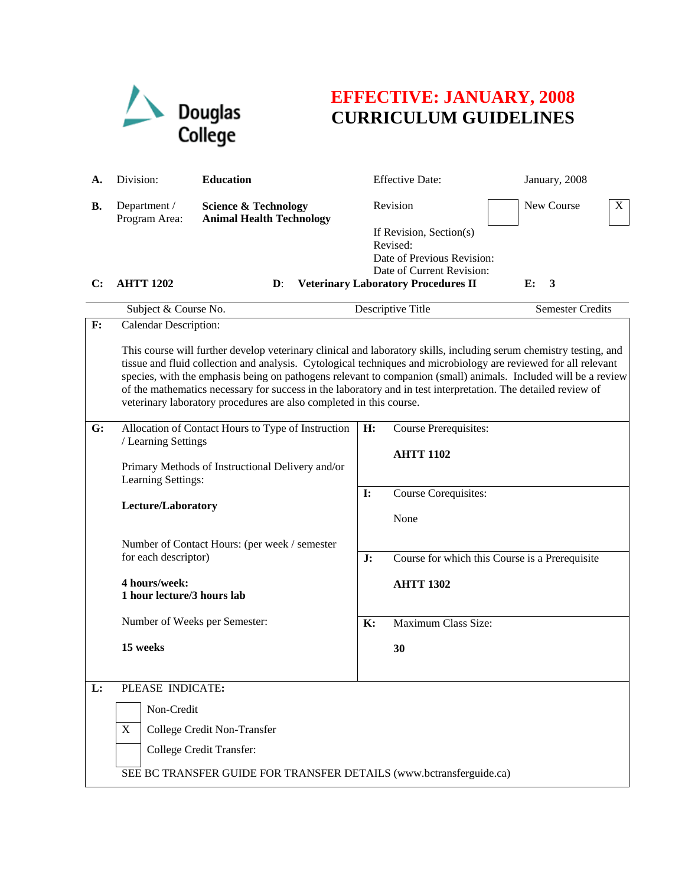

## **EFFECTIVE: JANUARY, 2008 CURRICULUM GUIDELINES**

| А.             | Division:<br><b>Education</b>                                                                                                                                                                                                                                                                                                                                                                                                                                                                                                                                                   |                                                                    |                            | <b>Effective Date:</b>                                                                                                                          | January, 2008           |  |  |  |  |
|----------------|---------------------------------------------------------------------------------------------------------------------------------------------------------------------------------------------------------------------------------------------------------------------------------------------------------------------------------------------------------------------------------------------------------------------------------------------------------------------------------------------------------------------------------------------------------------------------------|--------------------------------------------------------------------|----------------------------|-------------------------------------------------------------------------------------------------------------------------------------------------|-------------------------|--|--|--|--|
| <b>B.</b>      | Department /<br>Program Area:                                                                                                                                                                                                                                                                                                                                                                                                                                                                                                                                                   | <b>Science &amp; Technology</b><br><b>Animal Health Technology</b> |                            | Revision<br>If Revision, Section(s)<br>Revised:<br>Date of Previous Revision:                                                                   | New Course<br>X         |  |  |  |  |
| $\mathbf{C}$ : | <b>AHTT 1202</b>                                                                                                                                                                                                                                                                                                                                                                                                                                                                                                                                                                | $\mathbf{D}$ :                                                     |                            | Date of Current Revision:<br><b>Veterinary Laboratory Procedures II</b>                                                                         | E:<br>3                 |  |  |  |  |
|                | Subject & Course No.                                                                                                                                                                                                                                                                                                                                                                                                                                                                                                                                                            |                                                                    |                            | Descriptive Title                                                                                                                               | <b>Semester Credits</b> |  |  |  |  |
| F:             | <b>Calendar Description:</b><br>This course will further develop veterinary clinical and laboratory skills, including serum chemistry testing, and<br>tissue and fluid collection and analysis. Cytological techniques and microbiology are reviewed for all relevant<br>species, with the emphasis being on pathogens relevant to companion (small) animals. Included will be a review<br>of the mathematics necessary for success in the laboratory and in test interpretation. The detailed review of<br>veterinary laboratory procedures are also completed in this course. |                                                                    |                            |                                                                                                                                                 |                         |  |  |  |  |
| G:             | Allocation of Contact Hours to Type of Instruction<br>/ Learning Settings<br>Primary Methods of Instructional Delivery and/or<br>Learning Settings:<br>Lecture/Laboratory<br>Number of Contact Hours: (per week / semester<br>for each descriptor)<br>4 hours/week:<br>1 hour lecture/3 hours lab<br>Number of Weeks per Semester:<br>15 weeks                                                                                                                                                                                                                                  |                                                                    | H:<br>$\mathbf{I}$ :<br>J: | Course Prerequisites:<br><b>AHTT 1102</b><br>Course Corequisites:<br>None<br>Course for which this Course is a Prerequisite<br><b>AHTT 1302</b> |                         |  |  |  |  |
|                |                                                                                                                                                                                                                                                                                                                                                                                                                                                                                                                                                                                 |                                                                    | K:                         | Maximum Class Size:                                                                                                                             |                         |  |  |  |  |
|                |                                                                                                                                                                                                                                                                                                                                                                                                                                                                                                                                                                                 |                                                                    |                            | 30                                                                                                                                              |                         |  |  |  |  |
| L:             | PLEASE INDICATE:<br>Non-Credit<br>College Credit Non-Transfer<br>X<br>College Credit Transfer:<br>SEE BC TRANSFER GUIDE FOR TRANSFER DETAILS (www.bctransferguide.ca)                                                                                                                                                                                                                                                                                                                                                                                                           |                                                                    |                            |                                                                                                                                                 |                         |  |  |  |  |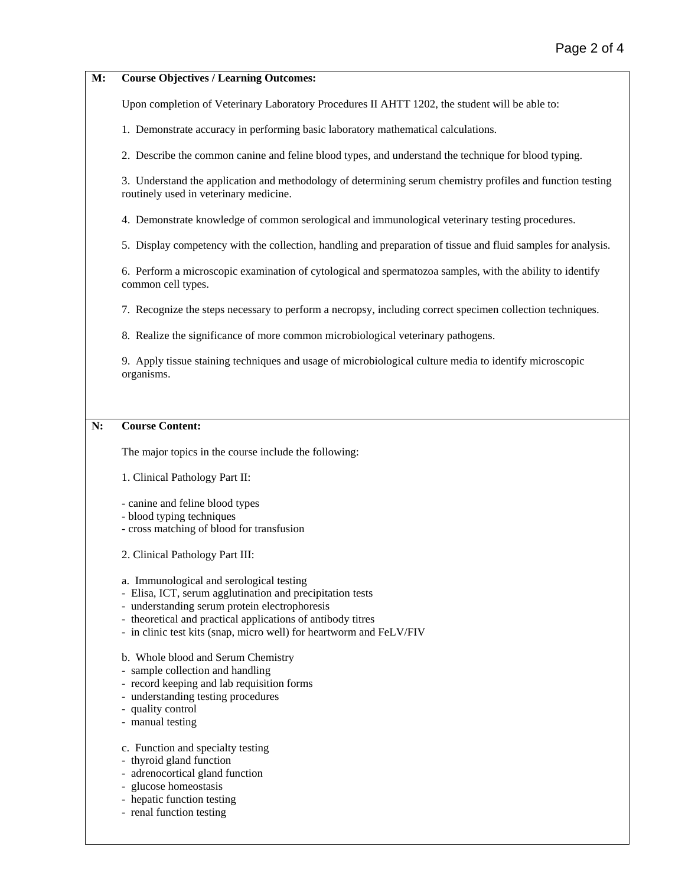| M: | <b>Course Objectives / Learning Outcomes:</b>                                                                                                                                                                                                                                                |  |  |  |  |  |  |
|----|----------------------------------------------------------------------------------------------------------------------------------------------------------------------------------------------------------------------------------------------------------------------------------------------|--|--|--|--|--|--|
|    | Upon completion of Veterinary Laboratory Procedures II AHTT 1202, the student will be able to:                                                                                                                                                                                               |  |  |  |  |  |  |
|    | 1. Demonstrate accuracy in performing basic laboratory mathematical calculations.                                                                                                                                                                                                            |  |  |  |  |  |  |
|    | 2. Describe the common canine and feline blood types, and understand the technique for blood typing.                                                                                                                                                                                         |  |  |  |  |  |  |
|    | 3. Understand the application and methodology of determining serum chemistry profiles and function testing<br>routinely used in veterinary medicine.                                                                                                                                         |  |  |  |  |  |  |
|    | 4. Demonstrate knowledge of common serological and immunological veterinary testing procedures.                                                                                                                                                                                              |  |  |  |  |  |  |
|    | 5. Display competency with the collection, handling and preparation of tissue and fluid samples for analysis.                                                                                                                                                                                |  |  |  |  |  |  |
|    | 6. Perform a microscopic examination of cytological and spermatozoa samples, with the ability to identify<br>common cell types.                                                                                                                                                              |  |  |  |  |  |  |
|    | 7. Recognize the steps necessary to perform a necropsy, including correct specimen collection techniques.                                                                                                                                                                                    |  |  |  |  |  |  |
|    | 8. Realize the significance of more common microbiological veterinary pathogens.                                                                                                                                                                                                             |  |  |  |  |  |  |
|    | 9. Apply tissue staining techniques and usage of microbiological culture media to identify microscopic<br>organisms.                                                                                                                                                                         |  |  |  |  |  |  |
|    |                                                                                                                                                                                                                                                                                              |  |  |  |  |  |  |
| N: | <b>Course Content:</b>                                                                                                                                                                                                                                                                       |  |  |  |  |  |  |
|    | The major topics in the course include the following:                                                                                                                                                                                                                                        |  |  |  |  |  |  |
|    | 1. Clinical Pathology Part II:                                                                                                                                                                                                                                                               |  |  |  |  |  |  |
|    | - canine and feline blood types<br>- blood typing techniques<br>- cross matching of blood for transfusion                                                                                                                                                                                    |  |  |  |  |  |  |
|    | 2. Clinical Pathology Part III:                                                                                                                                                                                                                                                              |  |  |  |  |  |  |
|    | a. Immunological and serological testing<br>- Elisa, ICT, serum agglutination and precipitation tests<br>- understanding serum protein electrophoresis<br>- theoretical and practical applications of antibody titres<br>- in clinic test kits (snap, micro well) for heartworm and FeLV/FIV |  |  |  |  |  |  |
|    | b. Whole blood and Serum Chemistry<br>- sample collection and handling<br>- record keeping and lab requisition forms<br>- understanding testing procedures<br>- quality control<br>- manual testing                                                                                          |  |  |  |  |  |  |
|    | c. Function and specialty testing<br>- thyroid gland function<br>- adrenocortical gland function<br>- glucose homeostasis                                                                                                                                                                    |  |  |  |  |  |  |

- hepatic function testing
- renal function testing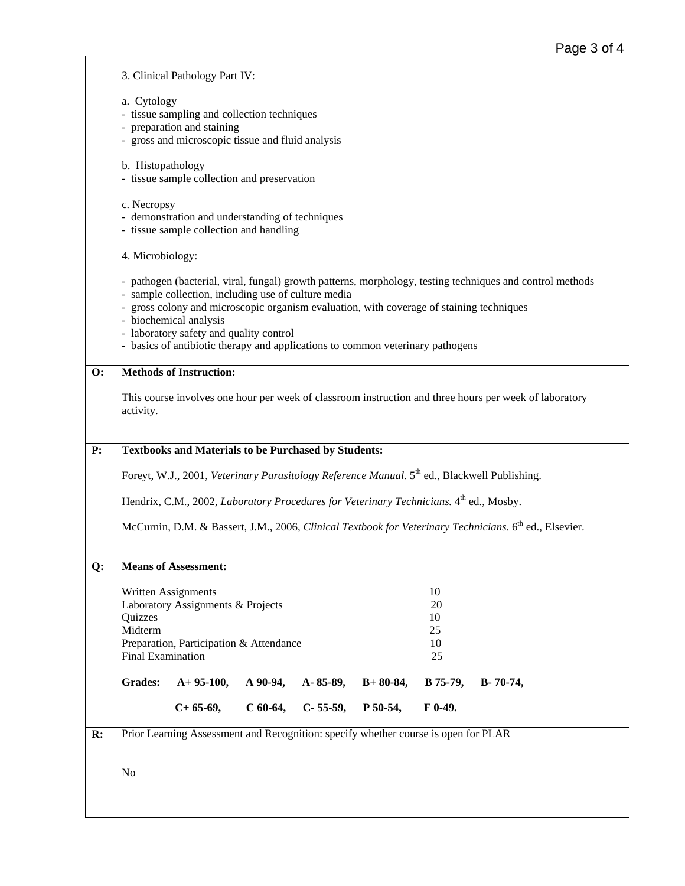3. Clinical Pathology Part IV:

- a. Cytology
- tissue sampling and collection techniques
- preparation and staining
- gross and microscopic tissue and fluid analysis
- b. Histopathology
- tissue sample collection and preservation
- c. Necropsy
- demonstration and understanding of techniques
- tissue sample collection and handling
- 4. Microbiology:
- pathogen (bacterial, viral, fungal) growth patterns, morphology, testing techniques and control methods
- sample collection, including use of culture media
- gross colony and microscopic organism evaluation, with coverage of staining techniques
- biochemical analysis
- laboratory safety and quality control
- basics of antibiotic therapy and applications to common veterinary pathogens

## **O: Methods of Instruction:**

This course involves one hour per week of classroom instruction and three hours per week of laboratory activity.

## **P: Textbooks and Materials to be Purchased by Students:**

Foreyt, W.J., 2001, *Veterinary Parasitology Reference Manual.* 5<sup>th</sup> ed., Blackwell Publishing.

Hendrix, C.M., 2002, *Laboratory Procedures for Veterinary Technicians.* 4<sup>th</sup> ed., Mosby.

McCurnin, D.M. & Bassert, J.M., 2006, *Clinical Textbook for Veterinary Technicians*. 6<sup>th</sup> ed., Elsevier.

## **Q: Means of Assessment:**

|                          | $C+65-69$                               | $C$ 60-64. | $C-55-59$ , P 50-54, |            | $F_{0-49.}$     |                 |
|--------------------------|-----------------------------------------|------------|----------------------|------------|-----------------|-----------------|
| <b>Grades:</b>           | $A+95-100$ , $A90-94$ , $A-85-89$ ,     |            |                      | $B+80-84,$ | <b>B</b> 75-79, | $B - 70 - 74$ . |
| <b>Final Examination</b> |                                         |            | 25                   |            |                 |                 |
|                          | Preparation, Participation & Attendance |            | 10                   |            |                 |                 |
| Midterm                  |                                         |            | 25                   |            |                 |                 |
| Quizzes                  |                                         |            | 10                   |            |                 |                 |
|                          | Laboratory Assignments & Projects       |            | 20                   |            |                 |                 |
|                          | Written Assignments                     |            | 10                   |            |                 |                 |
|                          |                                         |            |                      |            |                 |                 |

**R:** Prior Learning Assessment and Recognition: specify whether course is open for PLAR